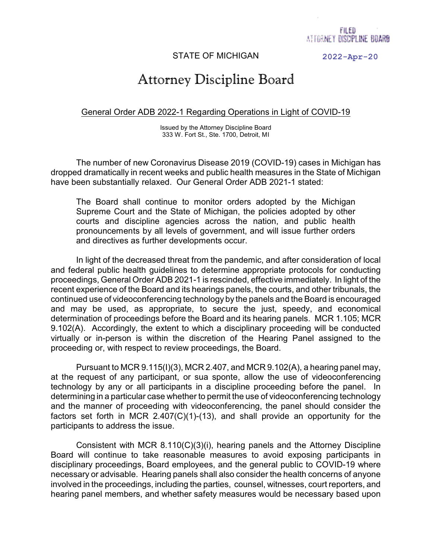## STATE OF MICHIGAN

**2022-Apr-20**

## Attorney Discipline Board

## General Order ADB 2022-1 Regarding Operations in Light of COVID-19

Issued by the Attorney Discipline Board 333 W. Fort St., Ste. 1700, Detroit, MI

The number of new Coronavirus Disease 2019 (COVID-19) cases in Michigan has dropped dramatically in recent weeks and public health measures in the State of Michigan have been substantially relaxed. Our General Order ADB 2021-1 stated:

The Board shall continue to monitor orders adopted by the Michigan Supreme Court and the State of Michigan, the policies adopted by other courts and discipline agencies across the nation, and public health pronouncements by all levels of government, and will issue further orders and directives as further developments occur.

In light of the decreased threat from the pandemic, and after consideration of local and federal public health guidelines to determine appropriate protocols for conducting proceedings, General Order ADB 2021-1 is rescinded, effective immediately. In light of the recent experience of the Board and its hearings panels, the courts, and other tribunals, the continued use of videoconferencing technology by the panels and the Board is encouraged and may be used, as appropriate, to secure the just, speedy, and economical determination of proceedings before the Board and its hearing panels. MCR 1.105; MCR 9.102(A). Accordingly, the extent to which a disciplinary proceeding will be conducted virtually or in-person is within the discretion of the Hearing Panel assigned to the proceeding or, with respect to review proceedings, the Board.

Pursuant to MCR  $9.115(1)(3)$ , MCR 2.407, and MCR  $9.102(A)$ , a hearing panel may, at the request of any participant, or sua sponte, allow the use of videoconferencing technology by any or all participants in a discipline proceeding before the panel. In determining in a particular case whether to permit the use of videoconferencing technology and the manner of proceeding with videoconferencing, the panel should consider the factors set forth in MCR 2.407(C)(1)-(13), and shall provide an opportunity for the participants to address the issue.

Consistent with MCR 8.110(C)(3)(i), hearing panels and the Attorney Discipline Board will continue to take reasonable measures to avoid exposing participants in disciplinary proceedings, Board employees, and the general public to COVID-19 where necessary or advisable. Hearing panels shall also consider the health concerns of anyone involved in the proceedings, including the parties, counsel, witnesses, court reporters, and hearing panel members, and whether safety measures would be necessary based upon